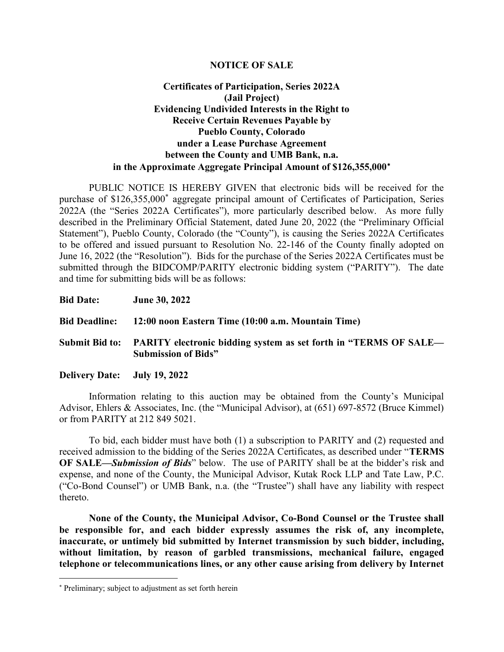#### NOTICE OF SALE

### Certificates of Participation, Series 2022A (Jail Project) Evidencing Undivided Interests in the Right to Receive Certain Revenues Payable by Pueblo County, Colorado under a Lease Purchase Agreement between the County and UMB Bank, n.a. in the Approximate Aggregate Principal Amount of \$126,355,000

PUBLIC NOTICE IS HEREBY GIVEN that electronic bids will be received for the purchase of \$126,355,000<sup>\*</sup> aggregate principal amount of Certificates of Participation, Series 2022A (the "Series 2022A Certificates"), more particularly described below. As more fully described in the Preliminary Official Statement, dated June 20, 2022 (the "Preliminary Official Statement"), Pueblo County, Colorado (the "County"), is causing the Series 2022A Certificates to be offered and issued pursuant to Resolution No. 22-146 of the County finally adopted on June 16, 2022 (the "Resolution"). Bids for the purchase of the Series 2022A Certificates must be submitted through the BIDCOMP/PARITY electronic bidding system ("PARITY"). The date and time for submitting bids will be as follows:

| <b>Bid Date:</b>             | <b>June 30, 2022</b>                                                                                          |
|------------------------------|---------------------------------------------------------------------------------------------------------------|
|                              | Bid Deadline: 12:00 noon Eastern Time (10:00 a.m. Mountain Time)                                              |
|                              | Submit Bid to: PARITY electronic bidding system as set forth in "TERMS OF SALE—<br><b>Submission of Bids"</b> |
| Delivery Date: July 19, 2022 |                                                                                                               |

Information relating to this auction may be obtained from the County's Municipal Advisor, Ehlers & Associates, Inc. (the "Municipal Advisor), at (651) 697-8572 (Bruce Kimmel) or from PARITY at 212 849 5021.

To bid, each bidder must have both (1) a subscription to PARITY and (2) requested and received admission to the bidding of the Series 2022A Certificates, as described under "TERMS OF SALE—Submission of Bids" below. The use of PARITY shall be at the bidder's risk and expense, and none of the County, the Municipal Advisor, Kutak Rock LLP and Tate Law, P.C. ("Co-Bond Counsel") or UMB Bank, n.a. (the "Trustee") shall have any liability with respect thereto.

None of the County, the Municipal Advisor, Co-Bond Counsel or the Trustee shall be responsible for, and each bidder expressly assumes the risk of, any incomplete, inaccurate, or untimely bid submitted by Internet transmission by such bidder, including, without limitation, by reason of garbled transmissions, mechanical failure, engaged telephone or telecommunications lines, or any other cause arising from delivery by Internet

 Preliminary; subject to adjustment as set forth herein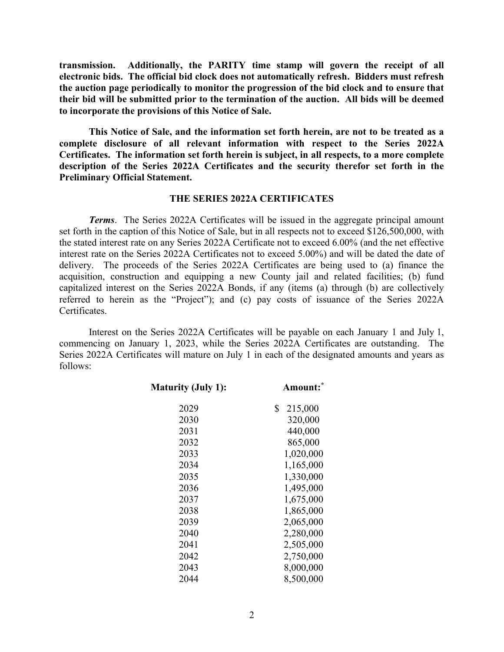transmission. Additionally, the PARITY time stamp will govern the receipt of all electronic bids. The official bid clock does not automatically refresh. Bidders must refresh the auction page periodically to monitor the progression of the bid clock and to ensure that their bid will be submitted prior to the termination of the auction. All bids will be deemed to incorporate the provisions of this Notice of Sale.

This Notice of Sale, and the information set forth herein, are not to be treated as a complete disclosure of all relevant information with respect to the Series 2022A Certificates. The information set forth herein is subject, in all respects, to a more complete description of the Series 2022A Certificates and the security therefor set forth in the Preliminary Official Statement.

#### THE SERIES 2022A CERTIFICATES

**Terms.** The Series 2022A Certificates will be issued in the aggregate principal amount set forth in the caption of this Notice of Sale, but in all respects not to exceed \$126,500,000, with the stated interest rate on any Series 2022A Certificate not to exceed 6.00% (and the net effective interest rate on the Series 2022A Certificates not to exceed 5.00%) and will be dated the date of delivery. The proceeds of the Series 2022A Certificates are being used to (a) finance the acquisition, construction and equipping a new County jail and related facilities; (b) fund capitalized interest on the Series 2022A Bonds, if any (items (a) through (b) are collectively referred to herein as the "Project"); and (c) pay costs of issuance of the Series 2022A Certificates.

Interest on the Series 2022A Certificates will be payable on each January 1 and July 1, commencing on January 1, 2023, while the Series 2022A Certificates are outstanding. The Series 2022A Certificates will mature on July 1 in each of the designated amounts and years as follows:

| <b>Maturity (July 1):</b> | Amount:       |  |  |
|---------------------------|---------------|--|--|
| 2029                      | \$<br>215,000 |  |  |
| 2030                      | 320,000       |  |  |
| 2031                      | 440,000       |  |  |
| 2032                      | 865,000       |  |  |
| 2033                      | 1,020,000     |  |  |
| 2034                      | 1,165,000     |  |  |
| 2035                      | 1,330,000     |  |  |
| 2036                      | 1,495,000     |  |  |
| 2037                      | 1,675,000     |  |  |
| 2038                      | 1,865,000     |  |  |
| 2039                      | 2,065,000     |  |  |
| 2040                      | 2,280,000     |  |  |
| 2041                      | 2,505,000     |  |  |
| 2042                      | 2,750,000     |  |  |
| 2043                      | 8,000,000     |  |  |
| 2044                      | 8,500,000     |  |  |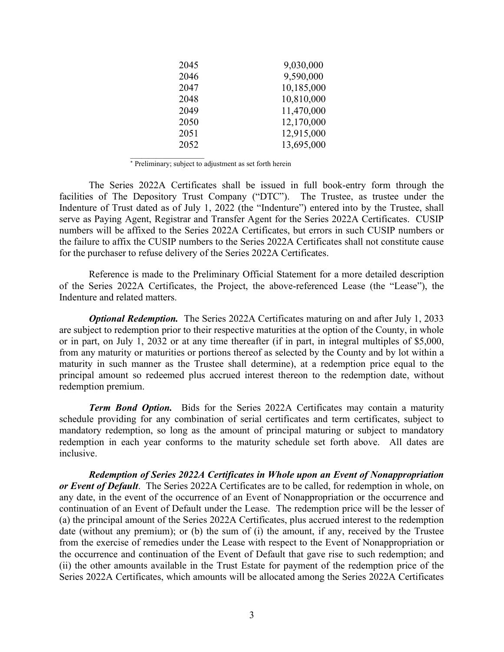| 2045 | 9,030,000  |
|------|------------|
| 2046 | 9,590,000  |
| 2047 | 10,185,000 |
| 2048 | 10,810,000 |
| 2049 | 11,470,000 |
| 2050 | 12,170,000 |
| 2051 | 12,915,000 |
| 2052 | 13,695,000 |
|      |            |

Preliminary; subject to adjustment as set forth herein

 $\mathcal{L}_\text{max}$ 

The Series 2022A Certificates shall be issued in full book-entry form through the facilities of The Depository Trust Company ("DTC"). The Trustee, as trustee under the Indenture of Trust dated as of July 1, 2022 (the "Indenture") entered into by the Trustee, shall serve as Paying Agent, Registrar and Transfer Agent for the Series 2022A Certificates. CUSIP numbers will be affixed to the Series 2022A Certificates, but errors in such CUSIP numbers or the failure to affix the CUSIP numbers to the Series 2022A Certificates shall not constitute cause for the purchaser to refuse delivery of the Series 2022A Certificates.

Reference is made to the Preliminary Official Statement for a more detailed description of the Series 2022A Certificates, the Project, the above-referenced Lease (the "Lease"), the Indenture and related matters.

**Optional Redemption.** The Series 2022A Certificates maturing on and after July 1, 2033 are subject to redemption prior to their respective maturities at the option of the County, in whole or in part, on July 1, 2032 or at any time thereafter (if in part, in integral multiples of \$5,000, from any maturity or maturities or portions thereof as selected by the County and by lot within a maturity in such manner as the Trustee shall determine), at a redemption price equal to the principal amount so redeemed plus accrued interest thereon to the redemption date, without redemption premium.

Term Bond Option. Bids for the Series 2022A Certificates may contain a maturity schedule providing for any combination of serial certificates and term certificates, subject to mandatory redemption, so long as the amount of principal maturing or subject to mandatory redemption in each year conforms to the maturity schedule set forth above. All dates are inclusive.

Redemption of Series 2022A Certificates in Whole upon an Event of Nonappropriation or Event of Default. The Series 2022A Certificates are to be called, for redemption in whole, on any date, in the event of the occurrence of an Event of Nonappropriation or the occurrence and continuation of an Event of Default under the Lease. The redemption price will be the lesser of (a) the principal amount of the Series 2022A Certificates, plus accrued interest to the redemption date (without any premium); or (b) the sum of (i) the amount, if any, received by the Trustee from the exercise of remedies under the Lease with respect to the Event of Nonappropriation or the occurrence and continuation of the Event of Default that gave rise to such redemption; and (ii) the other amounts available in the Trust Estate for payment of the redemption price of the Series 2022A Certificates, which amounts will be allocated among the Series 2022A Certificates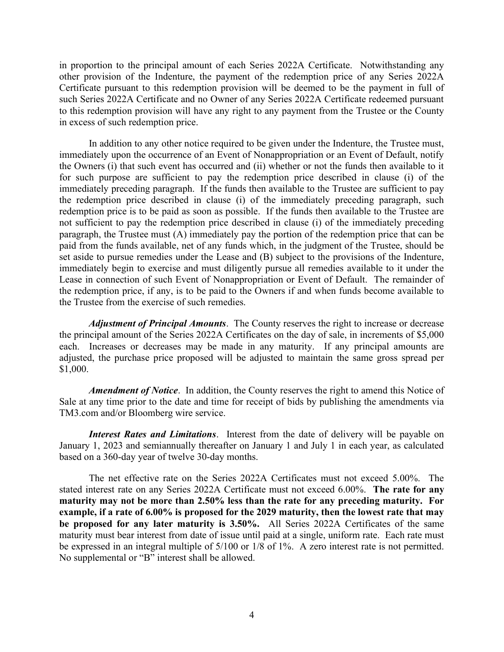in proportion to the principal amount of each Series 2022A Certificate. Notwithstanding any other provision of the Indenture, the payment of the redemption price of any Series 2022A Certificate pursuant to this redemption provision will be deemed to be the payment in full of such Series 2022A Certificate and no Owner of any Series 2022A Certificate redeemed pursuant to this redemption provision will have any right to any payment from the Trustee or the County in excess of such redemption price.

In addition to any other notice required to be given under the Indenture, the Trustee must, immediately upon the occurrence of an Event of Nonappropriation or an Event of Default, notify the Owners (i) that such event has occurred and (ii) whether or not the funds then available to it for such purpose are sufficient to pay the redemption price described in clause (i) of the immediately preceding paragraph. If the funds then available to the Trustee are sufficient to pay the redemption price described in clause (i) of the immediately preceding paragraph, such redemption price is to be paid as soon as possible. If the funds then available to the Trustee are not sufficient to pay the redemption price described in clause (i) of the immediately preceding paragraph, the Trustee must (A) immediately pay the portion of the redemption price that can be paid from the funds available, net of any funds which, in the judgment of the Trustee, should be set aside to pursue remedies under the Lease and (B) subject to the provisions of the Indenture, immediately begin to exercise and must diligently pursue all remedies available to it under the Lease in connection of such Event of Nonappropriation or Event of Default. The remainder of the redemption price, if any, is to be paid to the Owners if and when funds become available to the Trustee from the exercise of such remedies.

Adjustment of Principal Amounts. The County reserves the right to increase or decrease the principal amount of the Series 2022A Certificates on the day of sale, in increments of \$5,000 each. Increases or decreases may be made in any maturity. If any principal amounts are adjusted, the purchase price proposed will be adjusted to maintain the same gross spread per \$1,000.

Amendment of Notice. In addition, the County reserves the right to amend this Notice of Sale at any time prior to the date and time for receipt of bids by publishing the amendments via TM3.com and/or Bloomberg wire service.

Interest Rates and Limitations. Interest from the date of delivery will be payable on January 1, 2023 and semiannually thereafter on January 1 and July 1 in each year, as calculated based on a 360-day year of twelve 30-day months.

The net effective rate on the Series 2022A Certificates must not exceed 5.00%. The stated interest rate on any Series 2022A Certificate must not exceed 6.00%. The rate for any maturity may not be more than 2.50% less than the rate for any preceding maturity. For example, if a rate of 6.00% is proposed for the 2029 maturity, then the lowest rate that may be proposed for any later maturity is 3.50%. All Series 2022A Certificates of the same maturity must bear interest from date of issue until paid at a single, uniform rate. Each rate must be expressed in an integral multiple of 5/100 or 1/8 of 1%. A zero interest rate is not permitted. No supplemental or "B" interest shall be allowed.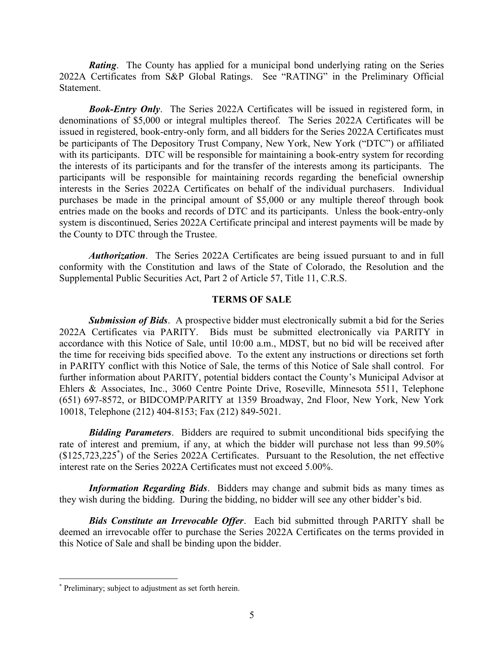**Rating.** The County has applied for a municipal bond underlying rating on the Series 2022A Certificates from S&P Global Ratings. See "RATING" in the Preliminary Official Statement.

**Book-Entry Only.** The Series 2022A Certificates will be issued in registered form, in denominations of \$5,000 or integral multiples thereof. The Series 2022A Certificates will be issued in registered, book-entry-only form, and all bidders for the Series 2022A Certificates must be participants of The Depository Trust Company, New York, New York ("DTC") or affiliated with its participants. DTC will be responsible for maintaining a book-entry system for recording the interests of its participants and for the transfer of the interests among its participants. The participants will be responsible for maintaining records regarding the beneficial ownership interests in the Series 2022A Certificates on behalf of the individual purchasers. Individual purchases be made in the principal amount of \$5,000 or any multiple thereof through book entries made on the books and records of DTC and its participants. Unless the book-entry-only system is discontinued, Series 2022A Certificate principal and interest payments will be made by the County to DTC through the Trustee.

Authorization. The Series 2022A Certificates are being issued pursuant to and in full conformity with the Constitution and laws of the State of Colorado, the Resolution and the Supplemental Public Securities Act, Part 2 of Article 57, Title 11, C.R.S.

### TERMS OF SALE

Submission of Bids. A prospective bidder must electronically submit a bid for the Series 2022A Certificates via PARITY. Bids must be submitted electronically via PARITY in accordance with this Notice of Sale, until 10:00 a.m., MDST, but no bid will be received after the time for receiving bids specified above. To the extent any instructions or directions set forth in PARITY conflict with this Notice of Sale, the terms of this Notice of Sale shall control. For further information about PARITY, potential bidders contact the County's Municipal Advisor at Ehlers & Associates, Inc., 3060 Centre Pointe Drive, Roseville, Minnesota 5511, Telephone (651) 697-8572, or BIDCOMP/PARITY at 1359 Broadway, 2nd Floor, New York, New York 10018, Telephone (212) 404-8153; Fax (212) 849-5021.

**Bidding Parameters.** Bidders are required to submit unconditional bids specifying the rate of interest and premium, if any, at which the bidder will purchase not less than 99.50% (\$125,723,225\* ) of the Series 2022A Certificates. Pursuant to the Resolution, the net effective interest rate on the Series 2022A Certificates must not exceed 5.00%.

**Information Regarding Bids.** Bidders may change and submit bids as many times as they wish during the bidding. During the bidding, no bidder will see any other bidder's bid.

**Bids Constitute an Irrevocable Offer.** Each bid submitted through PARITY shall be deemed an irrevocable offer to purchase the Series 2022A Certificates on the terms provided in this Notice of Sale and shall be binding upon the bidder.

<sup>\*</sup> Preliminary; subject to adjustment as set forth herein.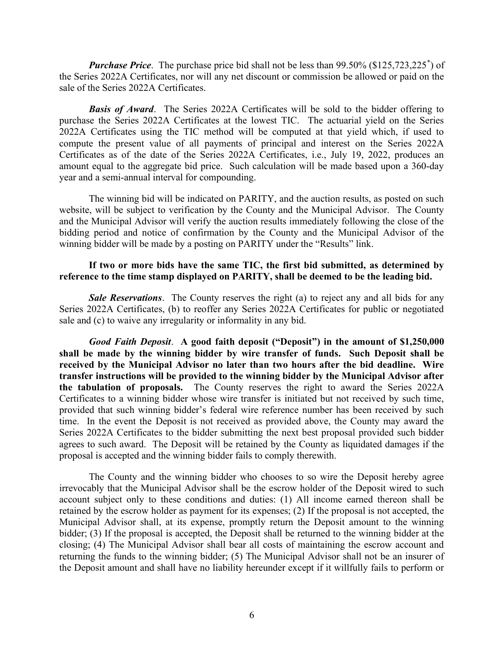**Purchase Price.** The purchase price bid shall not be less than  $99.50\%$  (\$125,723,225<sup>\*</sup>) of the Series 2022A Certificates, nor will any net discount or commission be allowed or paid on the sale of the Series 2022A Certificates.

**Basis of Award.** The Series 2022A Certificates will be sold to the bidder offering to purchase the Series 2022A Certificates at the lowest TIC. The actuarial yield on the Series 2022A Certificates using the TIC method will be computed at that yield which, if used to compute the present value of all payments of principal and interest on the Series 2022A Certificates as of the date of the Series 2022A Certificates, i.e., July 19, 2022, produces an amount equal to the aggregate bid price. Such calculation will be made based upon a 360-day year and a semi-annual interval for compounding.

The winning bid will be indicated on PARITY, and the auction results, as posted on such website, will be subject to verification by the County and the Municipal Advisor. The County and the Municipal Advisor will verify the auction results immediately following the close of the bidding period and notice of confirmation by the County and the Municipal Advisor of the winning bidder will be made by a posting on PARITY under the "Results" link.

### If two or more bids have the same TIC, the first bid submitted, as determined by reference to the time stamp displayed on PARITY, shall be deemed to be the leading bid.

**Sale Reservations.** The County reserves the right (a) to reject any and all bids for any Series 2022A Certificates, (b) to reoffer any Series 2022A Certificates for public or negotiated sale and (c) to waive any irregularity or informality in any bid.

Good Faith Deposit. A good faith deposit ("Deposit") in the amount of \$1,250,000 shall be made by the winning bidder by wire transfer of funds. Such Deposit shall be received by the Municipal Advisor no later than two hours after the bid deadline. Wire transfer instructions will be provided to the winning bidder by the Municipal Advisor after the tabulation of proposals. The County reserves the right to award the Series 2022A Certificates to a winning bidder whose wire transfer is initiated but not received by such time, provided that such winning bidder's federal wire reference number has been received by such time. In the event the Deposit is not received as provided above, the County may award the Series 2022A Certificates to the bidder submitting the next best proposal provided such bidder agrees to such award. The Deposit will be retained by the County as liquidated damages if the proposal is accepted and the winning bidder fails to comply therewith.

The County and the winning bidder who chooses to so wire the Deposit hereby agree irrevocably that the Municipal Advisor shall be the escrow holder of the Deposit wired to such account subject only to these conditions and duties: (1) All income earned thereon shall be retained by the escrow holder as payment for its expenses; (2) If the proposal is not accepted, the Municipal Advisor shall, at its expense, promptly return the Deposit amount to the winning bidder; (3) If the proposal is accepted, the Deposit shall be returned to the winning bidder at the closing; (4) The Municipal Advisor shall bear all costs of maintaining the escrow account and returning the funds to the winning bidder; (5) The Municipal Advisor shall not be an insurer of the Deposit amount and shall have no liability hereunder except if it willfully fails to perform or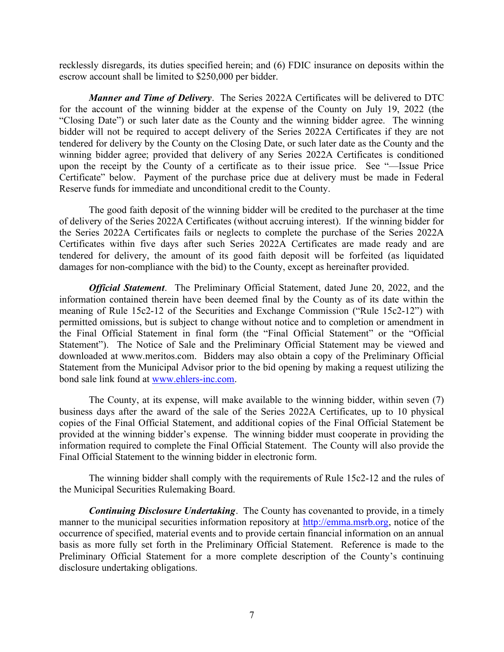recklessly disregards, its duties specified herein; and (6) FDIC insurance on deposits within the escrow account shall be limited to \$250,000 per bidder.

Manner and Time of Delivery. The Series 2022A Certificates will be delivered to DTC for the account of the winning bidder at the expense of the County on July 19, 2022 (the "Closing Date") or such later date as the County and the winning bidder agree. The winning bidder will not be required to accept delivery of the Series 2022A Certificates if they are not tendered for delivery by the County on the Closing Date, or such later date as the County and the winning bidder agree; provided that delivery of any Series 2022A Certificates is conditioned upon the receipt by the County of a certificate as to their issue price. See "—Issue Price Certificate" below. Payment of the purchase price due at delivery must be made in Federal Reserve funds for immediate and unconditional credit to the County.

The good faith deposit of the winning bidder will be credited to the purchaser at the time of delivery of the Series 2022A Certificates (without accruing interest). If the winning bidder for the Series 2022A Certificates fails or neglects to complete the purchase of the Series 2022A Certificates within five days after such Series 2022A Certificates are made ready and are tendered for delivery, the amount of its good faith deposit will be forfeited (as liquidated damages for non-compliance with the bid) to the County, except as hereinafter provided.

**Official Statement**. The Preliminary Official Statement, dated June 20, 2022, and the information contained therein have been deemed final by the County as of its date within the meaning of Rule 15c2-12 of the Securities and Exchange Commission ("Rule 15c2-12") with permitted omissions, but is subject to change without notice and to completion or amendment in the Final Official Statement in final form (the "Final Official Statement" or the "Official Statement"). The Notice of Sale and the Preliminary Official Statement may be viewed and downloaded at www.meritos.com. Bidders may also obtain a copy of the Preliminary Official Statement from the Municipal Advisor prior to the bid opening by making a request utilizing the bond sale link found at www.ehlers-inc.com.

The County, at its expense, will make available to the winning bidder, within seven (7) business days after the award of the sale of the Series 2022A Certificates, up to 10 physical copies of the Final Official Statement, and additional copies of the Final Official Statement be provided at the winning bidder's expense. The winning bidder must cooperate in providing the information required to complete the Final Official Statement. The County will also provide the Final Official Statement to the winning bidder in electronic form.

The winning bidder shall comply with the requirements of Rule 15c2-12 and the rules of the Municipal Securities Rulemaking Board.

**Continuing Disclosure Undertaking.** The County has covenanted to provide, in a timely manner to the municipal securities information repository at http://emma.msrb.org, notice of the occurrence of specified, material events and to provide certain financial information on an annual basis as more fully set forth in the Preliminary Official Statement. Reference is made to the Preliminary Official Statement for a more complete description of the County's continuing disclosure undertaking obligations.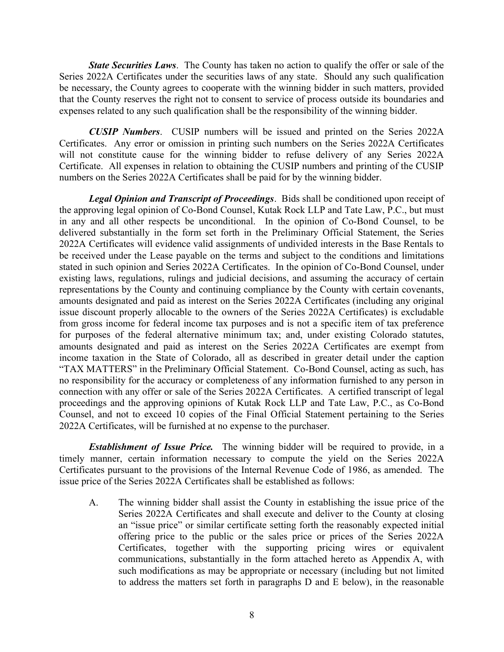**State Securities Laws.** The County has taken no action to qualify the offer or sale of the Series 2022A Certificates under the securities laws of any state. Should any such qualification be necessary, the County agrees to cooperate with the winning bidder in such matters, provided that the County reserves the right not to consent to service of process outside its boundaries and expenses related to any such qualification shall be the responsibility of the winning bidder.

CUSIP Numbers. CUSIP numbers will be issued and printed on the Series 2022A Certificates. Any error or omission in printing such numbers on the Series 2022A Certificates will not constitute cause for the winning bidder to refuse delivery of any Series 2022A Certificate. All expenses in relation to obtaining the CUSIP numbers and printing of the CUSIP numbers on the Series 2022A Certificates shall be paid for by the winning bidder.

**Legal Opinion and Transcript of Proceedings.** Bids shall be conditioned upon receipt of the approving legal opinion of Co-Bond Counsel, Kutak Rock LLP and Tate Law, P.C., but must in any and all other respects be unconditional. In the opinion of Co-Bond Counsel, to be delivered substantially in the form set forth in the Preliminary Official Statement, the Series 2022A Certificates will evidence valid assignments of undivided interests in the Base Rentals to be received under the Lease payable on the terms and subject to the conditions and limitations stated in such opinion and Series 2022A Certificates. In the opinion of Co-Bond Counsel, under existing laws, regulations, rulings and judicial decisions, and assuming the accuracy of certain representations by the County and continuing compliance by the County with certain covenants, amounts designated and paid as interest on the Series 2022A Certificates (including any original issue discount properly allocable to the owners of the Series 2022A Certificates) is excludable from gross income for federal income tax purposes and is not a specific item of tax preference for purposes of the federal alternative minimum tax; and, under existing Colorado statutes, amounts designated and paid as interest on the Series 2022A Certificates are exempt from income taxation in the State of Colorado, all as described in greater detail under the caption "TAX MATTERS" in the Preliminary Official Statement. Co-Bond Counsel, acting as such, has no responsibility for the accuracy or completeness of any information furnished to any person in connection with any offer or sale of the Series 2022A Certificates. A certified transcript of legal proceedings and the approving opinions of Kutak Rock LLP and Tate Law, P.C., as Co-Bond Counsel, and not to exceed 10 copies of the Final Official Statement pertaining to the Series 2022A Certificates, will be furnished at no expense to the purchaser.

**Establishment of Issue Price.** The winning bidder will be required to provide, in a timely manner, certain information necessary to compute the yield on the Series 2022A Certificates pursuant to the provisions of the Internal Revenue Code of 1986, as amended. The issue price of the Series 2022A Certificates shall be established as follows:

A. The winning bidder shall assist the County in establishing the issue price of the Series 2022A Certificates and shall execute and deliver to the County at closing an "issue price" or similar certificate setting forth the reasonably expected initial offering price to the public or the sales price or prices of the Series 2022A Certificates, together with the supporting pricing wires or equivalent communications, substantially in the form attached hereto as Appendix A, with such modifications as may be appropriate or necessary (including but not limited to address the matters set forth in paragraphs D and E below), in the reasonable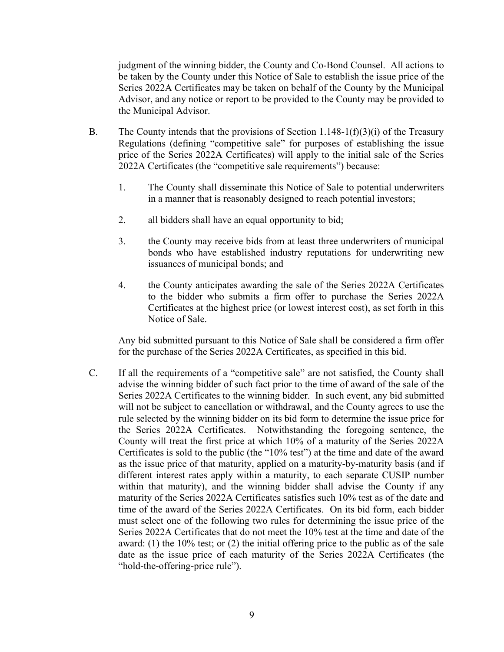judgment of the winning bidder, the County and Co-Bond Counsel. All actions to be taken by the County under this Notice of Sale to establish the issue price of the Series 2022A Certificates may be taken on behalf of the County by the Municipal Advisor, and any notice or report to be provided to the County may be provided to the Municipal Advisor.

- B. The County intends that the provisions of Section 1.148-1(f)(3)(i) of the Treasury Regulations (defining "competitive sale" for purposes of establishing the issue price of the Series 2022A Certificates) will apply to the initial sale of the Series 2022A Certificates (the "competitive sale requirements") because:
	- 1. The County shall disseminate this Notice of Sale to potential underwriters in a manner that is reasonably designed to reach potential investors;
	- 2. all bidders shall have an equal opportunity to bid;
	- 3. the County may receive bids from at least three underwriters of municipal bonds who have established industry reputations for underwriting new issuances of municipal bonds; and
	- 4. the County anticipates awarding the sale of the Series 2022A Certificates to the bidder who submits a firm offer to purchase the Series 2022A Certificates at the highest price (or lowest interest cost), as set forth in this Notice of Sale.

Any bid submitted pursuant to this Notice of Sale shall be considered a firm offer for the purchase of the Series 2022A Certificates, as specified in this bid.

C. If all the requirements of a "competitive sale" are not satisfied, the County shall advise the winning bidder of such fact prior to the time of award of the sale of the Series 2022A Certificates to the winning bidder. In such event, any bid submitted will not be subject to cancellation or withdrawal, and the County agrees to use the rule selected by the winning bidder on its bid form to determine the issue price for the Series 2022A Certificates. Notwithstanding the foregoing sentence, the County will treat the first price at which 10% of a maturity of the Series 2022A Certificates is sold to the public (the "10% test") at the time and date of the award as the issue price of that maturity, applied on a maturity-by-maturity basis (and if different interest rates apply within a maturity, to each separate CUSIP number within that maturity), and the winning bidder shall advise the County if any maturity of the Series 2022A Certificates satisfies such 10% test as of the date and time of the award of the Series 2022A Certificates. On its bid form, each bidder must select one of the following two rules for determining the issue price of the Series 2022A Certificates that do not meet the 10% test at the time and date of the award: (1) the 10% test; or (2) the initial offering price to the public as of the sale date as the issue price of each maturity of the Series 2022A Certificates (the "hold-the-offering-price rule").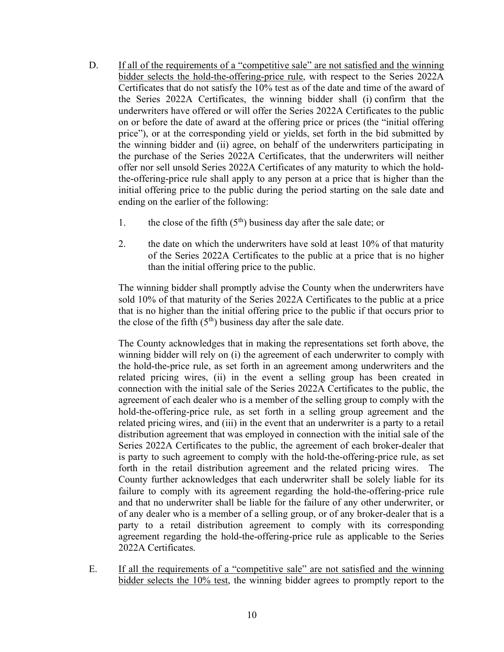- D. If all of the requirements of a "competitive sale" are not satisfied and the winning bidder selects the hold-the-offering-price rule, with respect to the Series 2022A Certificates that do not satisfy the 10% test as of the date and time of the award of the Series 2022A Certificates, the winning bidder shall (i) confirm that the underwriters have offered or will offer the Series 2022A Certificates to the public on or before the date of award at the offering price or prices (the "initial offering price"), or at the corresponding yield or yields, set forth in the bid submitted by the winning bidder and (ii) agree, on behalf of the underwriters participating in the purchase of the Series 2022A Certificates, that the underwriters will neither offer nor sell unsold Series 2022A Certificates of any maturity to which the holdthe-offering-price rule shall apply to any person at a price that is higher than the initial offering price to the public during the period starting on the sale date and ending on the earlier of the following:
	- 1. the close of the fifth  $(5<sup>th</sup>)$  business day after the sale date; or
	- 2. the date on which the underwriters have sold at least 10% of that maturity of the Series 2022A Certificates to the public at a price that is no higher than the initial offering price to the public.

The winning bidder shall promptly advise the County when the underwriters have sold 10% of that maturity of the Series 2022A Certificates to the public at a price that is no higher than the initial offering price to the public if that occurs prior to the close of the fifth  $(5<sup>th</sup>)$  business day after the sale date.

The County acknowledges that in making the representations set forth above, the winning bidder will rely on (i) the agreement of each underwriter to comply with the hold-the-price rule, as set forth in an agreement among underwriters and the related pricing wires, (ii) in the event a selling group has been created in connection with the initial sale of the Series 2022A Certificates to the public, the agreement of each dealer who is a member of the selling group to comply with the hold-the-offering-price rule, as set forth in a selling group agreement and the related pricing wires, and (iii) in the event that an underwriter is a party to a retail distribution agreement that was employed in connection with the initial sale of the Series 2022A Certificates to the public, the agreement of each broker-dealer that is party to such agreement to comply with the hold-the-offering-price rule, as set forth in the retail distribution agreement and the related pricing wires. The County further acknowledges that each underwriter shall be solely liable for its failure to comply with its agreement regarding the hold-the-offering-price rule and that no underwriter shall be liable for the failure of any other underwriter, or of any dealer who is a member of a selling group, or of any broker-dealer that is a party to a retail distribution agreement to comply with its corresponding agreement regarding the hold-the-offering-price rule as applicable to the Series 2022A Certificates.

E. If all the requirements of a "competitive sale" are not satisfied and the winning bidder selects the 10% test, the winning bidder agrees to promptly report to the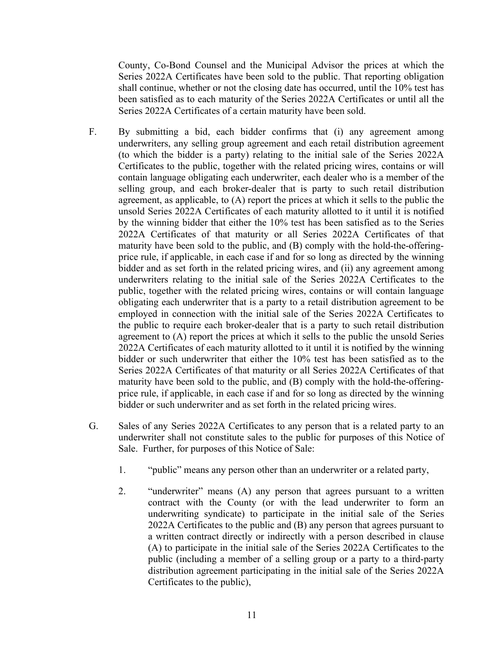County, Co-Bond Counsel and the Municipal Advisor the prices at which the Series 2022A Certificates have been sold to the public. That reporting obligation shall continue, whether or not the closing date has occurred, until the 10% test has been satisfied as to each maturity of the Series 2022A Certificates or until all the Series 2022A Certificates of a certain maturity have been sold.

- F. By submitting a bid, each bidder confirms that (i) any agreement among underwriters, any selling group agreement and each retail distribution agreement (to which the bidder is a party) relating to the initial sale of the Series 2022A Certificates to the public, together with the related pricing wires, contains or will contain language obligating each underwriter, each dealer who is a member of the selling group, and each broker-dealer that is party to such retail distribution agreement, as applicable, to (A) report the prices at which it sells to the public the unsold Series 2022A Certificates of each maturity allotted to it until it is notified by the winning bidder that either the 10% test has been satisfied as to the Series 2022A Certificates of that maturity or all Series 2022A Certificates of that maturity have been sold to the public, and (B) comply with the hold-the-offeringprice rule, if applicable, in each case if and for so long as directed by the winning bidder and as set forth in the related pricing wires, and (ii) any agreement among underwriters relating to the initial sale of the Series 2022A Certificates to the public, together with the related pricing wires, contains or will contain language obligating each underwriter that is a party to a retail distribution agreement to be employed in connection with the initial sale of the Series 2022A Certificates to the public to require each broker-dealer that is a party to such retail distribution agreement to (A) report the prices at which it sells to the public the unsold Series 2022A Certificates of each maturity allotted to it until it is notified by the winning bidder or such underwriter that either the 10% test has been satisfied as to the Series 2022A Certificates of that maturity or all Series 2022A Certificates of that maturity have been sold to the public, and (B) comply with the hold-the-offeringprice rule, if applicable, in each case if and for so long as directed by the winning bidder or such underwriter and as set forth in the related pricing wires.
- G. Sales of any Series 2022A Certificates to any person that is a related party to an underwriter shall not constitute sales to the public for purposes of this Notice of Sale. Further, for purposes of this Notice of Sale:
	- 1. "public" means any person other than an underwriter or a related party,
	- 2. "underwriter" means (A) any person that agrees pursuant to a written contract with the County (or with the lead underwriter to form an underwriting syndicate) to participate in the initial sale of the Series 2022A Certificates to the public and (B) any person that agrees pursuant to a written contract directly or indirectly with a person described in clause (A) to participate in the initial sale of the Series 2022A Certificates to the public (including a member of a selling group or a party to a third-party distribution agreement participating in the initial sale of the Series 2022A Certificates to the public),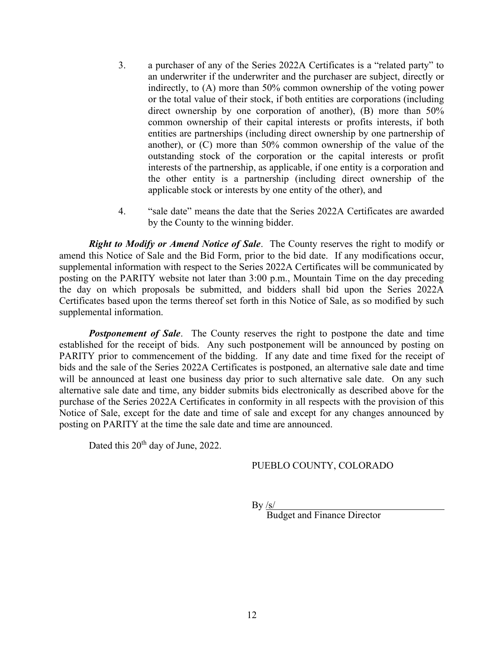- 3. a purchaser of any of the Series 2022A Certificates is a "related party" to an underwriter if the underwriter and the purchaser are subject, directly or indirectly, to (A) more than 50% common ownership of the voting power or the total value of their stock, if both entities are corporations (including direct ownership by one corporation of another), (B) more than 50% common ownership of their capital interests or profits interests, if both entities are partnerships (including direct ownership by one partnership of another), or (C) more than 50% common ownership of the value of the outstanding stock of the corporation or the capital interests or profit interests of the partnership, as applicable, if one entity is a corporation and the other entity is a partnership (including direct ownership of the applicable stock or interests by one entity of the other), and
- 4. "sale date" means the date that the Series 2022A Certificates are awarded by the County to the winning bidder.

Right to Modify or Amend Notice of Sale. The County reserves the right to modify or amend this Notice of Sale and the Bid Form, prior to the bid date. If any modifications occur, supplemental information with respect to the Series 2022A Certificates will be communicated by posting on the PARITY website not later than 3:00 p.m., Mountain Time on the day preceding the day on which proposals be submitted, and bidders shall bid upon the Series 2022A Certificates based upon the terms thereof set forth in this Notice of Sale, as so modified by such supplemental information.

**Postponement of Sale.** The County reserves the right to postpone the date and time established for the receipt of bids. Any such postponement will be announced by posting on PARITY prior to commencement of the bidding. If any date and time fixed for the receipt of bids and the sale of the Series 2022A Certificates is postponed, an alternative sale date and time will be announced at least one business day prior to such alternative sale date. On any such alternative sale date and time, any bidder submits bids electronically as described above for the purchase of the Series 2022A Certificates in conformity in all respects with the provision of this Notice of Sale, except for the date and time of sale and except for any changes announced by posting on PARITY at the time the sale date and time are announced.

Dated this 20<sup>th</sup> day of June, 2022.

#### PUEBLO COUNTY, COLORADO

 $By <sub>/s/</sub>$ 

Budget and Finance Director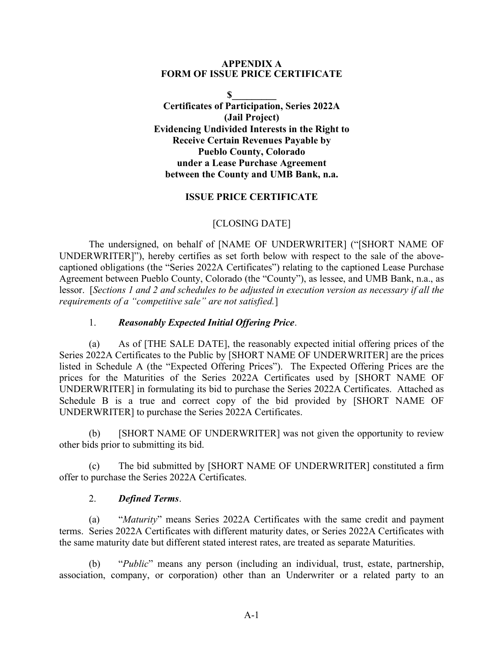### APPENDIX A FORM OF ISSUE PRICE CERTIFICATE

 $S$ Certificates of Participation, Series 2022A (Jail Project) Evidencing Undivided Interests in the Right to Receive Certain Revenues Payable by Pueblo County, Colorado under a Lease Purchase Agreement between the County and UMB Bank, n.a.

### ISSUE PRICE CERTIFICATE

### [CLOSING DATE]

The undersigned, on behalf of [NAME OF UNDERWRITER] ("[SHORT NAME OF UNDERWRITER]"), hereby certifies as set forth below with respect to the sale of the abovecaptioned obligations (the "Series 2022A Certificates") relating to the captioned Lease Purchase Agreement between Pueblo County, Colorado (the "County"), as lessee, and UMB Bank, n.a., as lessor. [Sections 1 and 2 and schedules to be adjusted in execution version as necessary if all the requirements of a "competitive sale" are not satisfied.]

### 1. Reasonably Expected Initial Offering Price.

(a) As of [THE SALE DATE], the reasonably expected initial offering prices of the Series 2022A Certificates to the Public by [SHORT NAME OF UNDERWRITER] are the prices listed in Schedule A (the "Expected Offering Prices"). The Expected Offering Prices are the prices for the Maturities of the Series 2022A Certificates used by [SHORT NAME OF UNDERWRITER] in formulating its bid to purchase the Series 2022A Certificates. Attached as Schedule B is a true and correct copy of the bid provided by [SHORT NAME OF UNDERWRITER] to purchase the Series 2022A Certificates.

 (b) [SHORT NAME OF UNDERWRITER] was not given the opportunity to review other bids prior to submitting its bid.

 (c) The bid submitted by [SHORT NAME OF UNDERWRITER] constituted a firm offer to purchase the Series 2022A Certificates.

### 2. Defined Terms.

 (a) "Maturity" means Series 2022A Certificates with the same credit and payment terms. Series 2022A Certificates with different maturity dates, or Series 2022A Certificates with the same maturity date but different stated interest rates, are treated as separate Maturities.

(b) "Public" means any person (including an individual, trust, estate, partnership, association, company, or corporation) other than an Underwriter or a related party to an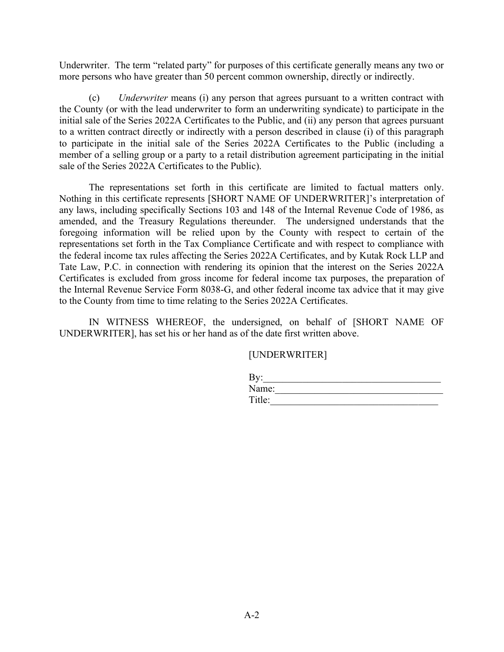Underwriter. The term "related party" for purposes of this certificate generally means any two or more persons who have greater than 50 percent common ownership, directly or indirectly.

 (c) Underwriter means (i) any person that agrees pursuant to a written contract with the County (or with the lead underwriter to form an underwriting syndicate) to participate in the initial sale of the Series 2022A Certificates to the Public, and (ii) any person that agrees pursuant to a written contract directly or indirectly with a person described in clause (i) of this paragraph to participate in the initial sale of the Series 2022A Certificates to the Public (including a member of a selling group or a party to a retail distribution agreement participating in the initial sale of the Series 2022A Certificates to the Public).

The representations set forth in this certificate are limited to factual matters only. Nothing in this certificate represents [SHORT NAME OF UNDERWRITER]'s interpretation of any laws, including specifically Sections 103 and 148 of the Internal Revenue Code of 1986, as amended, and the Treasury Regulations thereunder. The undersigned understands that the foregoing information will be relied upon by the County with respect to certain of the representations set forth in the Tax Compliance Certificate and with respect to compliance with the federal income tax rules affecting the Series 2022A Certificates, and by Kutak Rock LLP and Tate Law, P.C. in connection with rendering its opinion that the interest on the Series 2022A Certificates is excluded from gross income for federal income tax purposes, the preparation of the Internal Revenue Service Form 8038-G, and other federal income tax advice that it may give to the County from time to time relating to the Series 2022A Certificates.

IN WITNESS WHEREOF, the undersigned, on behalf of [SHORT NAME OF UNDERWRITER], has set his or her hand as of the date first written above.

[UNDERWRITER]

| By:    |  |  |  |
|--------|--|--|--|
| Name:  |  |  |  |
| Title: |  |  |  |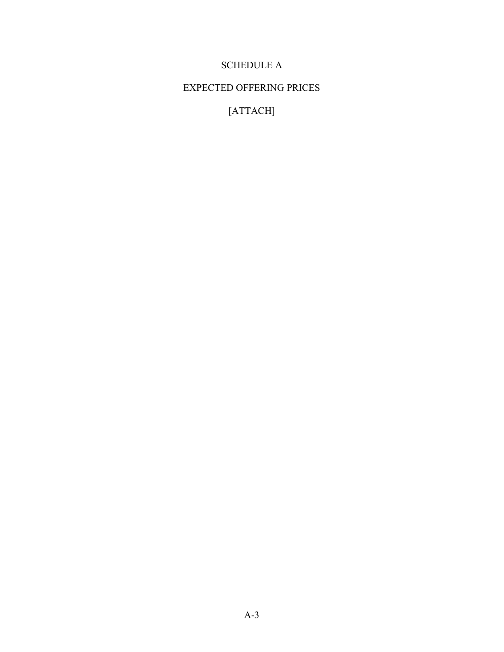# SCHEDULE A

# EXPECTED OFFERING PRICES

[ATTACH]